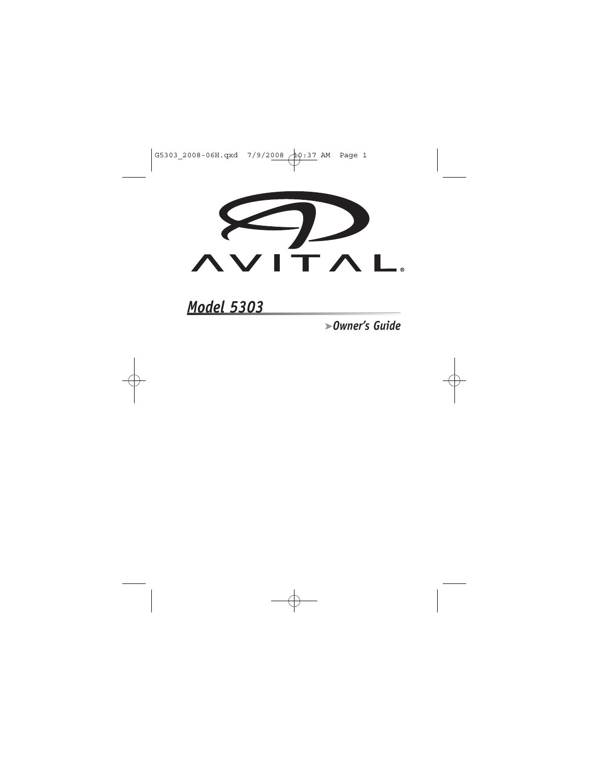

# *Model 5303*

➤*Owner's Guide*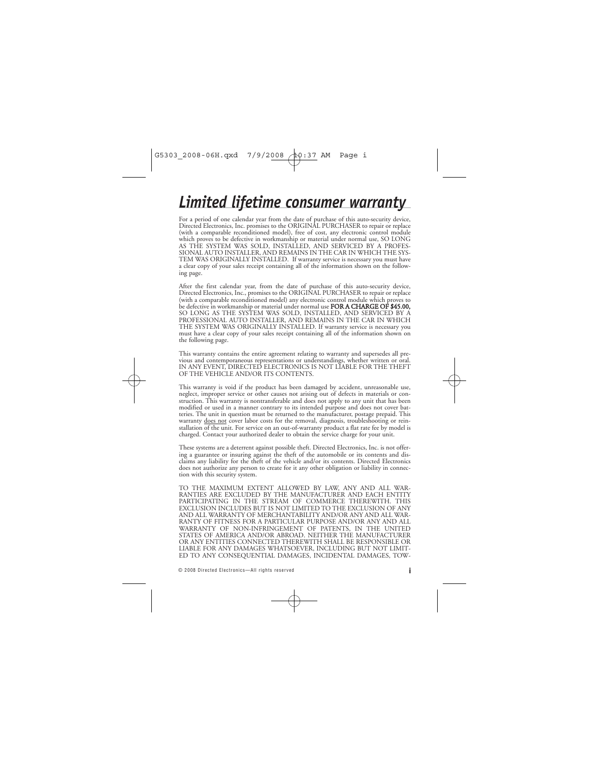# *Limited lifetime consumer warranty*

For a period of one calendar year from the date of purchase of this auto-security device, Directed Electronics, Inc. promises to the ORIGINAL PURCHASER to repair or replace (with a comparable reconditioned model), free of cost, any electronic control module which proves to be defective in workmanship or material under normal use, SO LONG AS THE SYSTEM WAS SOLD, INSTALLED, AND SERVICED BY A PROFES-SIONAL AUTO INSTALLER, AND REMAINS IN THE CAR IN WHICH THE SYS-TEM WAS ORIGINALLY INSTALLED. If warranty service is necessary you must have a clear copy of your sales receipt containing all of the information shown on the following page.

After the first calendar year, from the date of purchase of this auto-security device, Directed Electronics, Inc., promises to the ORIGINAL PURCHASER to repair or replace (with a comparable reconditioned model) any electronic control module which proves to be defective in workmanship or material under normal use **FOR A CHARGE OF \$45.00,** SO LONG AS THE SYSTEM WAS SOLD, INSTALLED, AND SERVICED BY A PROFESSIONAL AUTO INSTALLER, AND REMAINS IN THE CAR IN WHICH THE SYSTEM WAS ORIGINALLY INSTALLED. If warranty service is necessary you must have a clear copy of your sales receipt containing all of the information shown on the following page.

This warranty contains the entire agreement relating to warranty and supersedes all previous and contemporaneous representations or understandings, whether written or oral. IN ANY EVENT, DIRECTED ELECTRONICS IS NOT LIABLE FOR THE THEFT OF THE VEHICLE AND/OR ITS CONTENTS.

This warranty is void if the product has been damaged by accident, unreasonable use, neglect, improper service or other causes not arising out of defects in materials or construction. This warranty is nontransferable and does not apply to any unit that has been modified or used in a manner contrary to its intended purpose and does not cover batteries. The unit in question must be returned to the manufacturer, postage prepaid. This warranty does not cover labor costs for the removal, diagnosis, troubleshooting or reinstallation of the unit. For service on an out-of-warranty product a flat rate fee by model is charged. Contact your authorized dealer to obtain the service charge for your unit.

These systems are a deterrent against possible theft. Directed Electronics, Inc. is not offering a guarantee or insuring against the theft of the automobile or its contents and disclaims any liability for the theft of the vehicle and/or its contents. Directed Electronics does not authorize any person to create for it any other obligation or liability in connection with this security system.

TO THE MAXIMUM EXTENT ALLOWED BY LAW, ANY AND ALL WAR-RANTIES ARE EXCLUDED BY THE MANUFACTURER AND EACH ENTITY PARTICIPATING IN THE STREAM OF COMMERCE THEREWITH. THIS EXCLUSION INCLUDES BUT IS NOT LIMITED TO THE EXCLUSION OF ANY AND ALL WARRANTY OF MERCHANTABILITY AND/OR ANY AND ALL WAR-RANTY OF FITNESS FOR A PARTICULAR PURPOSE AND/OR ANY AND ALL WARRANTY OF NON-INFRINGEMENT OF PATENTS, IN THE UNITED STATES OF AMERICA AND/OR ABROAD. NEITHER THE MANUFACTURER OR ANY ENTITIES CONNECTED THEREWITH SHALL BE RESPONSIBLE OR LIABLE FOR ANY DAMAGES WHATSOEVER, INCLUDING BUT NOT LIMIT-ED TO ANY CONSEQUENTIAL DAMAGES, INCIDENTAL DAMAGES, TOW-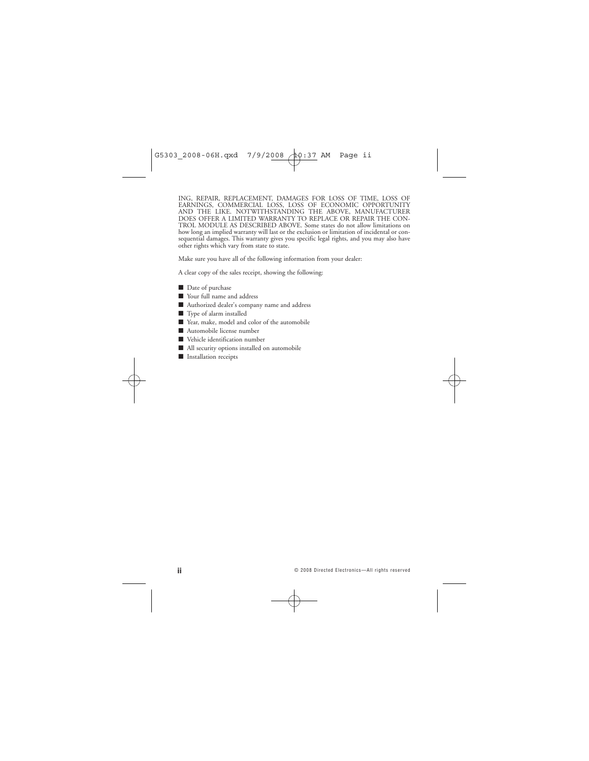ING, REPAIR, REPLACEMENT, DAMAGES FOR LOSS OF TIME, LOSS OF EARNINGS, COMMERCIAL LOSS, LOSS OF ECONOMIC OPPORTUNITY AND THE LIKE. NOTWITHSTANDING THE ABOVE, MANUFACTURER DOES OFFER A LIMITED WARRANTY TO REPLACE OR REPAIR THE CON-TROL MODULE AS DESCRIBED ABOVE. Some states do not allow limitations on how long an implied warranty will last or the exclusion or limitation of incidental or consequential damages. This warranty gives you specific legal rights, and you may also have other rights which vary from state to state.

Make sure you have all of the following information from your dealer:

A clear copy of the sales receipt, showing the following:

- Date of purchase
- Your full name and address
- Authorized dealer's company name and address
- Type of alarm installed
- Year, make, model and color of the automobile
- Automobile license number
- Vehicle identification number
- All security options installed on automobile
- Installation receipts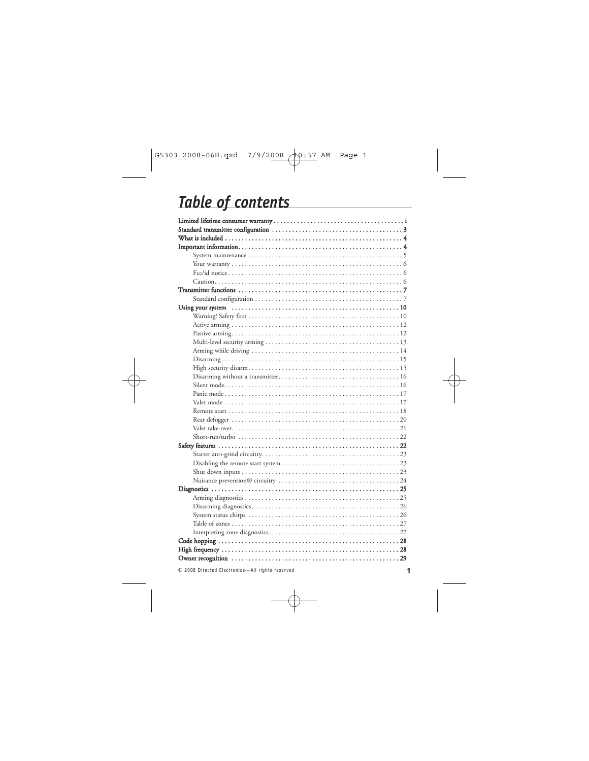# *Table of contents*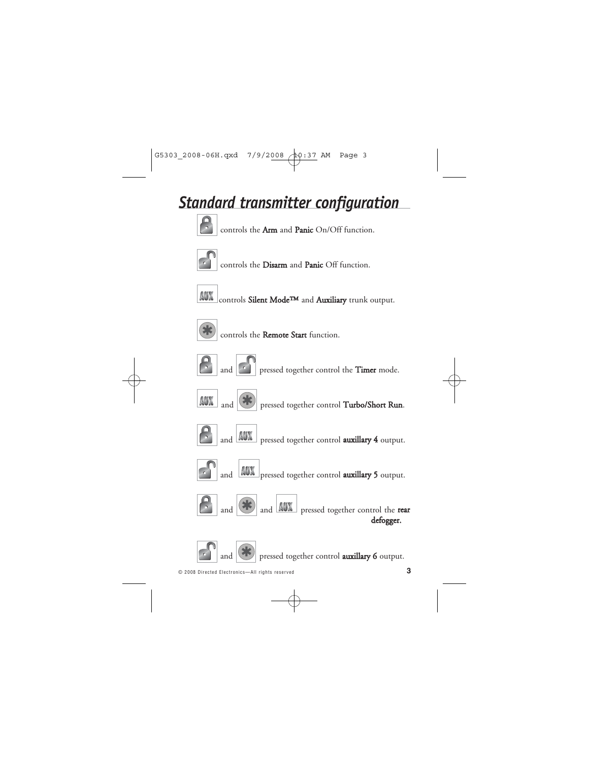# *Standard transmitter configuration*



controls the Arm and Panic On/Off function.



controls the Disarm and Panic Off function.



controls Silent Mode™ and Auxiliary trunk output.



controls the Remote Start function.



**and c** pressed together control the **Timer** mode.













pressed together control auxillary 6 output.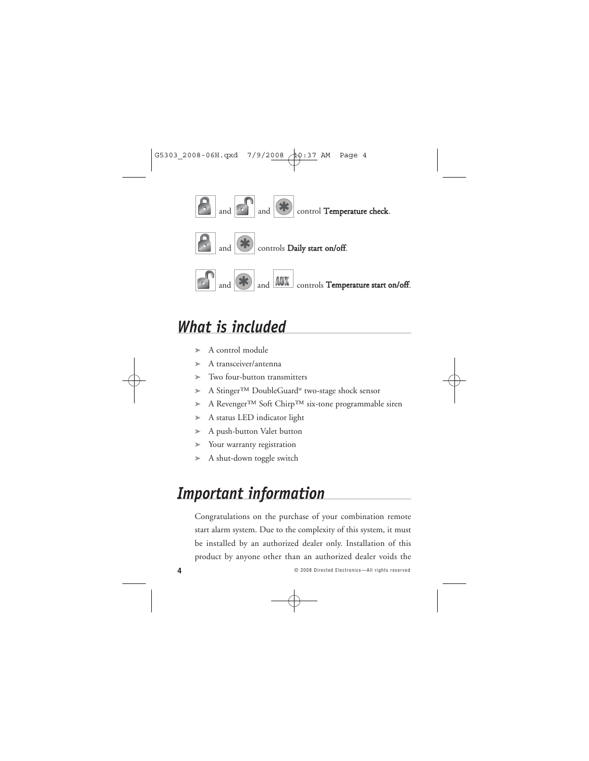

# *What is included*

- $\blacktriangleright$  A control module
- ➤ A transceiver/antenna
- ➤ Two four-button transmitters
- ➤ A Stinger™ DoubleGuard® two-stage shock sensor
- ➤ A Revenger™ Soft Chirp™ six-tone programmable siren
- ➤ A status LED indicator light
- ➤ A push-button Valet button
- ➤ Your warranty registration
- ➤ A shut-down toggle switch

# *Important information*

Congratulations on the purchase of your combination remote start alarm system. Due to the complexity of this system, it must be installed by an authorized dealer only. Installation of this product by anyone other than an authorized dealer voids the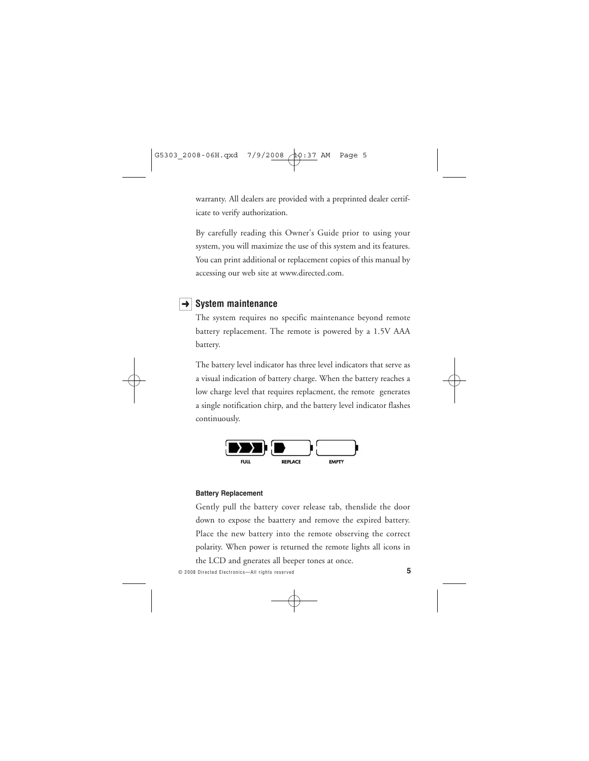warranty. All dealers are provided with a preprinted dealer certificate to verify authorization.

By carefully reading this Owner's Guide prior to using your system, you will maximize the use of this system and its features. You can print additional or replacement copies of this manual by accessing our web site at www.directed.com.

# **→ System maintenance**

The system requires no specific maintenance beyond remote battery replacement. The remote is powered by a 1.5V AAA battery.

The battery level indicator has three level indicators that serve as a visual indication of battery charge. When the battery reaches a low charge level that requires replacment, the remote generates a single notification chirp, and the battery level indicator flashes continuously.



#### **Battery Replacement**

Gently pull the battery cover release tab, thenslide the door down to expose the baattery and remove the expired battery. Place the new battery into the remote observing the correct polarity. When power is returned the remote lights all icons in

the LCD and gnerates all beeper tones at once.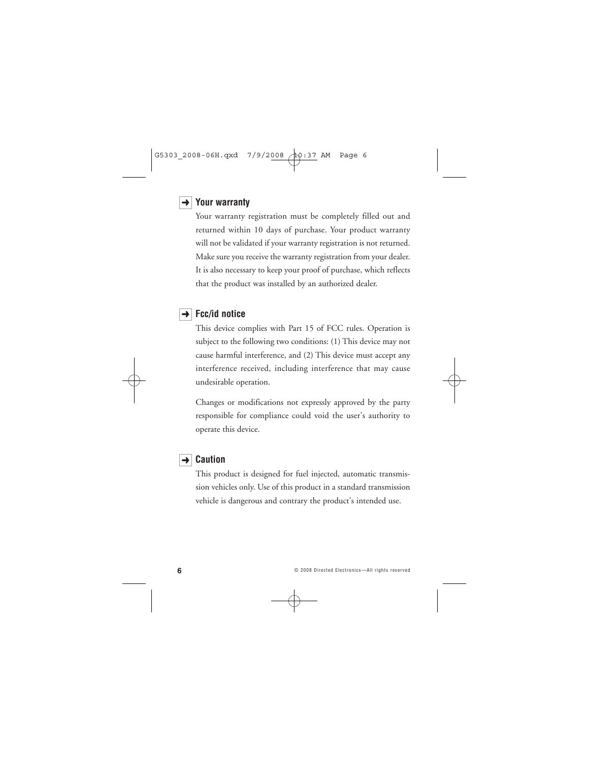### **→ Your warranty**

Your warranty registration must be completely filled out and returned within 10 days of purchase. Your product warranty will not be validated if your warranty registration is not returned. Make sure you receive the warranty registration from your dealer. It is also necessary to keep your proof of purchase, which reflects that the product was installed by an authorized dealer.

## **Fcc/id notice** ➜

This device complies with Part 15 of FCC rules. Operation is subject to the following two conditions: (1) This device may not cause harmful interference, and (2) This device must accept any interference received, including interference that may cause undesirable operation.

Changes or modifications not expressly approved by the party responsible for compliance could void the user's authority to operate this device.

### **→** Caution

This product is designed for fuel injected, automatic transmission vehicles only. Use of this product in a standard transmission vehicle is dangerous and contrary the product's intended use.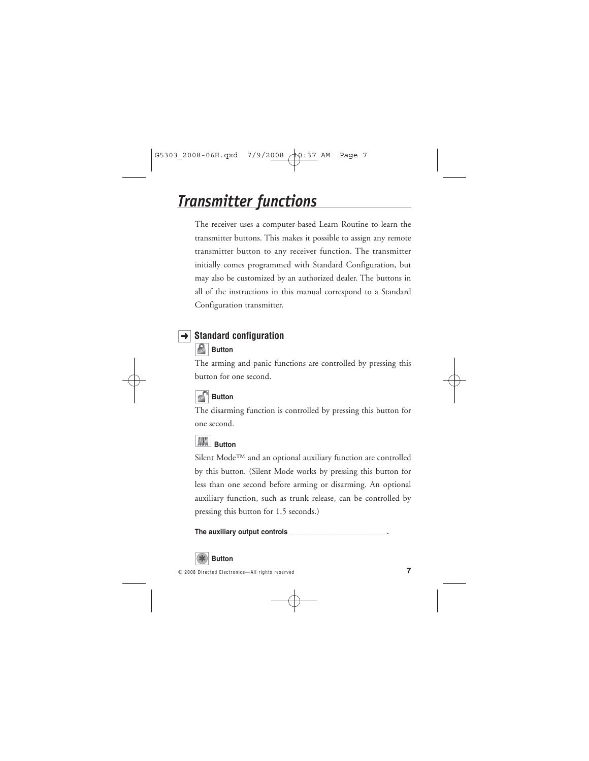# *Transmitter functions*

The receiver uses a computer-based Learn Routine to learn the transmitter buttons. This makes it possible to assign any remote transmitter button to any receiver function. The transmitter initially comes programmed with Standard Configuration, but may also be customized by an authorized dealer. The buttons in all of the instructions in this manual correspond to a Standard Configuration transmitter.

# **→ Standard configuration**

# **Button**

The arming and panic functions are controlled by pressing this button for one second.

# **Button**

The disarming function is controlled by pressing this button for one second.

# $\frac{d}{dt}$  **Button**

Silent Mode™ and an optional auxiliary function are controlled by this button. (Silent Mode works by pressing this button for less than one second before arming or disarming. An optional auxiliary function, such as trunk release, can be controlled by pressing this button for 1.5 seconds.)

### **The auxiliary output controls \_\_\_\_\_\_\_\_\_\_\_\_\_\_\_\_\_\_\_\_\_\_\_\_\_\_.**

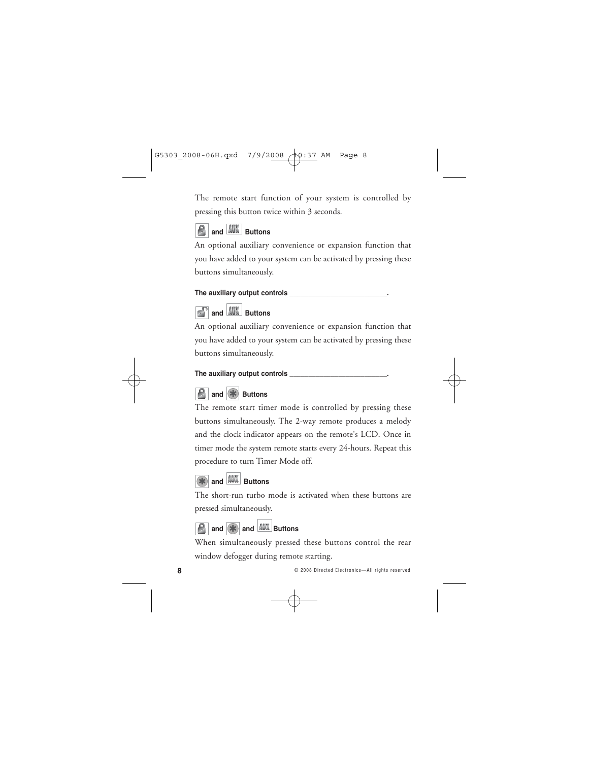The remote start function of your system is controlled by pressing this button twice within 3 seconds.

# **and AUX** Buttons

An optional auxiliary convenience or expansion function that you have added to your system can be activated by pressing these buttons simultaneously.

### **The auxiliary output controls \_\_\_\_\_\_\_\_\_\_\_\_\_\_\_\_\_\_\_\_\_\_\_\_\_\_.**



**and AUX** Buttons

An optional auxiliary convenience or expansion function that you have added to your system can be activated by pressing these buttons simultaneously.

### **The auxiliary output controls \_\_\_\_\_\_\_\_\_\_\_\_\_\_\_\_\_\_\_\_\_\_\_\_\_\_.**



The remote start timer mode is controlled by pressing these buttons simultaneously. The 2-way remote produces a melody and the clock indicator appears on the remote's LCD. Once in timer mode the system remote starts every 24-hours. Repeat this procedure to turn Timer Mode off.

# **and AUX** Buttons

The short-run turbo mode is activated when these buttons are pressed simultaneously.



When simultaneously pressed these buttons control the rear window defogger during remote starting.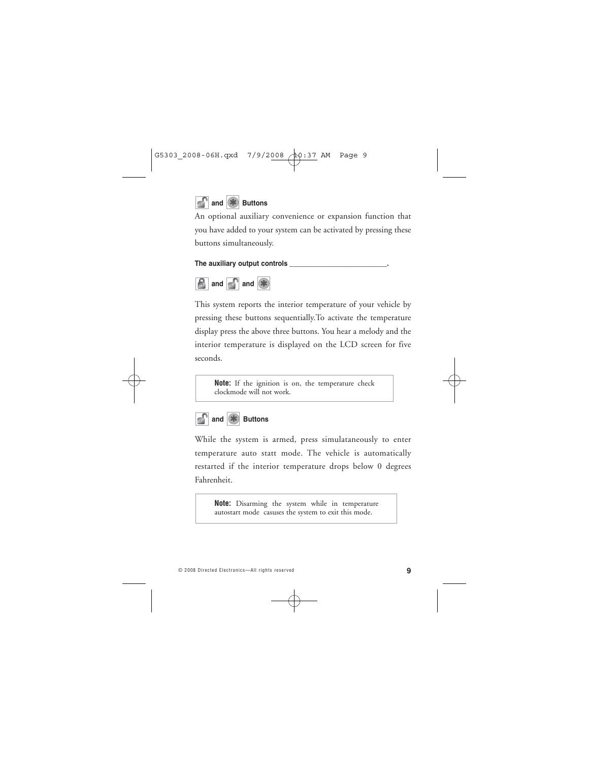

An optional auxiliary convenience or expansion function that you have added to your system can be activated by pressing these buttons simultaneously.

#### **The auxiliary output controls \_\_\_\_\_\_\_\_\_\_\_\_\_\_\_\_\_\_\_\_\_\_\_\_\_\_.**



This system reports the interior temperature of your vehicle by pressing these buttons sequentially.To activate the temperature display press the above three buttons. You hear a melody and the interior temperature is displayed on the LCD screen for five seconds.

**Note:** If the ignition is on, the temperature check clockmode will not work.



While the system is armed, press simulataneously to enter temperature auto statt mode. The vehicle is automatically restarted if the interior temperature drops below 0 degrees Fahrenheit.

**Note:** Disarming the system while in temperature autostart mode casuses the system to exit this mode.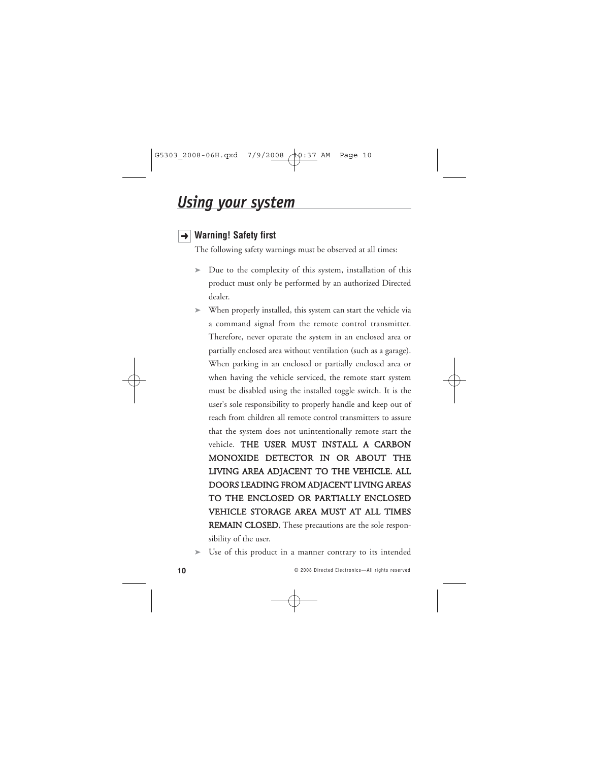# *Using your system*

# **Warning! Safety first** ➜

The following safety warnings must be observed at all times:

- ➤ Due to the complexity of this system, installation of this product must only be performed by an authorized Directed dealer.
- ➤ When properly installed, this system can start the vehicle via a command signal from the remote control transmitter. Therefore, never operate the system in an enclosed area or partially enclosed area without ventilation (such as a garage). When parking in an enclosed or partially enclosed area or when having the vehicle serviced, the remote start system must be disabled using the installed toggle switch. It is the user's sole responsibility to properly handle and keep out of reach from children all remote control transmitters to assure that the system does not unintentionally remote start the vehicle. THE USER MUST INSTALL A CARBON MONOXIDE DETECTOR IN OR ABOUT THE LIVING AREA ADJACENT TO THE VEHICLE. ALL DOORS LEADING FROM ADJACENT LIVING AREAS TO THE ENCLOSED OR PARTIALLY ENCLOSED VEHICLE STORAGE AREA MUST AT ALL TIMES REMAIN CLOSED. These precautions are the sole responsibility of the user.
- Use of this product in a manner contrary to its intended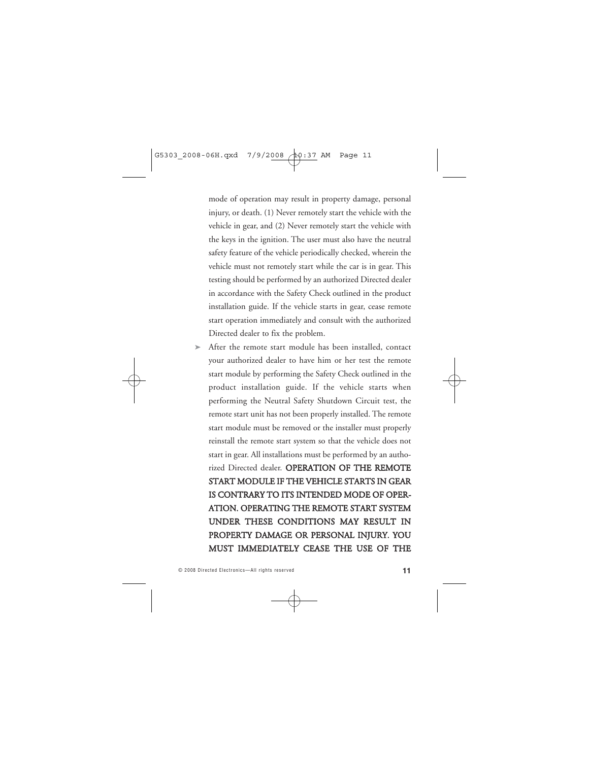mode of operation may result in property damage, personal injury, or death. (1) Never remotely start the vehicle with the vehicle in gear, and (2) Never remotely start the vehicle with the keys in the ignition. The user must also have the neutral safety feature of the vehicle periodically checked, wherein the vehicle must not remotely start while the car is in gear. This testing should be performed by an authorized Directed dealer in accordance with the Safety Check outlined in the product installation guide. If the vehicle starts in gear, cease remote start operation immediately and consult with the authorized Directed dealer to fix the problem.

 $\triangleright$  After the remote start module has been installed, contact your authorized dealer to have him or her test the remote start module by performing the Safety Check outlined in the product installation guide. If the vehicle starts when performing the Neutral Safety Shutdown Circuit test, the remote start unit has not been properly installed. The remote start module must be removed or the installer must properly reinstall the remote start system so that the vehicle does not start in gear. All installations must be performed by an authorized Directed dealer. OPERATION OF THE REMOTE START MODULE IF THE VEHICLE STARTS IN GEAR IS CONTRARY TO ITS INTENDED MODE OF OPER-ATION. OPERATING THE REMOTE START SYSTEM UNDER THESE CONDITIONS MAY RESULT IN PROPERTY DAMAGE OR PERSONAL INJURY. YOU MUST IMMEDIATELY CEASE THE USE OF THE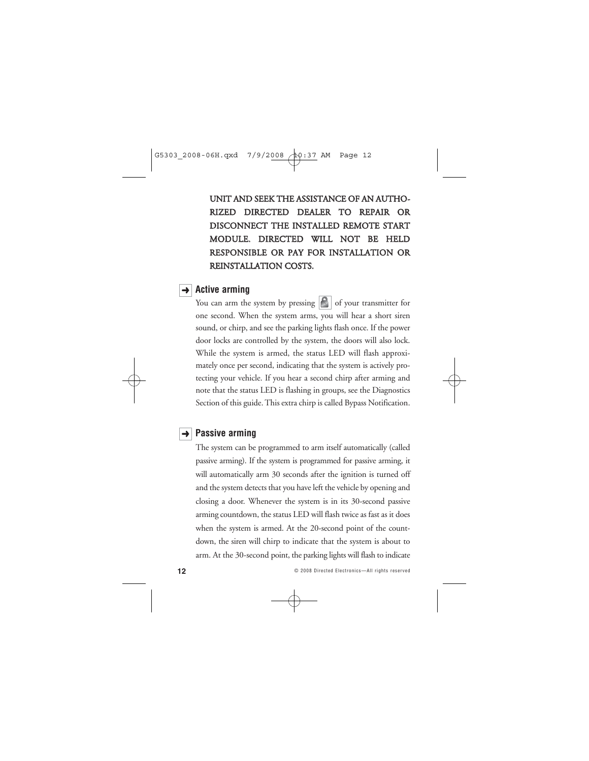UNIT AND SEEK THE ASSISTANCE OF AN AUTHO-RIZED DIRECTED DEALER TO REPAIR OR DISCONNECT THE INSTALLED REMOTE START MODULE. DIRECTED WILL NOT BE HELD RESPONSIBLE OR PAY FOR INSTALLATION OR REINSTALLATION COSTS.

### **→ Active arming**

You can arm the system by pressing  $\left| \mathbf{F} \right|$  of your transmitter for one second. When the system arms, you will hear a short siren sound, or chirp, and see the parking lights flash once. If the power door locks are controlled by the system, the doors will also lock. While the system is armed, the status LED will flash approximately once per second, indicating that the system is actively protecting your vehicle. If you hear a second chirp after arming and note that the status LED is flashing in groups, see the Diagnostics Section of this guide. This extra chirp is called Bypass Notification.

### → Passive arming

The system can be programmed to arm itself automatically (called passive arming). If the system is programmed for passive arming, it will automatically arm 30 seconds after the ignition is turned off and the system detects that you have left the vehicle by opening and closing a door. Whenever the system is in its 30-second passive arming countdown, the status LED will flash twice as fast as it does when the system is armed. At the 20-second point of the countdown, the siren will chirp to indicate that the system is about to arm. At the 30-second point, the parking lights will flash to indicate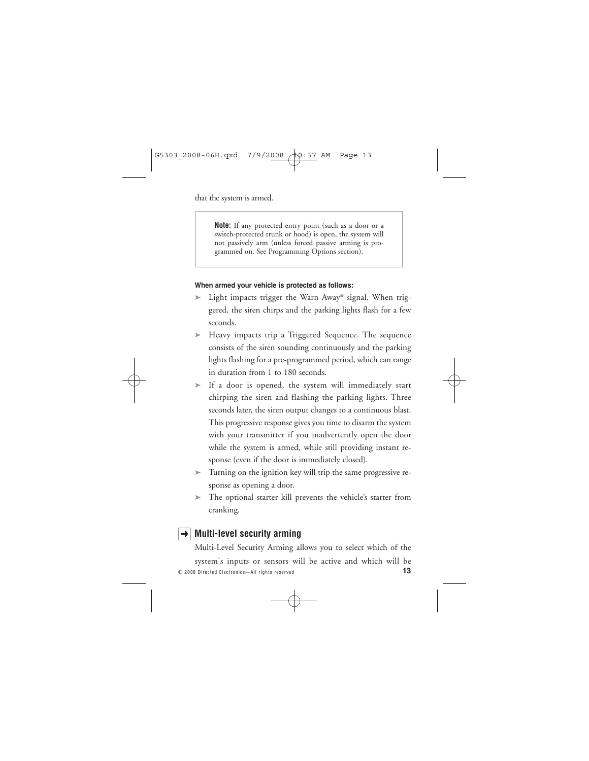that the system is armed.

**Note:** If any protected entry point (such as a door or a switch-protected trunk or hood) is open, the system will not passively arm (unless forced passive arming is programmed on. See Programming Options section).

#### **When armed your vehicle is protected as follows:**

- Light impacts trigger the Warn Away® signal. When triggered, the siren chirps and the parking lights flash for a few seconds.
- ➤ Heavy impacts trip a Triggered Sequence. The sequence consists of the siren sounding continuously and the parking lights flashing for a pre-programmed period, which can range in duration from 1 to 180 seconds.
- ➤ If a door is opened, the system will immediately start chirping the siren and flashing the parking lights. Three seconds later, the siren output changes to a continuous blast. This progressive response gives you time to disarm the system with your transmitter if you inadvertently open the door while the system is armed, while still providing instant response (even if the door is immediately closed).
- ➤ Turning on the ignition key will trip the same progressive response as opening a door.
- ➤ The optional starter kill prevents the vehicle's starter from cranking.

# **Multi-level security arming** ➜

© 2008 Directed Electronics—All rights reserved **13** Multi-Level Security Arming allows you to select which of the system's inputs or sensors will be active and which will be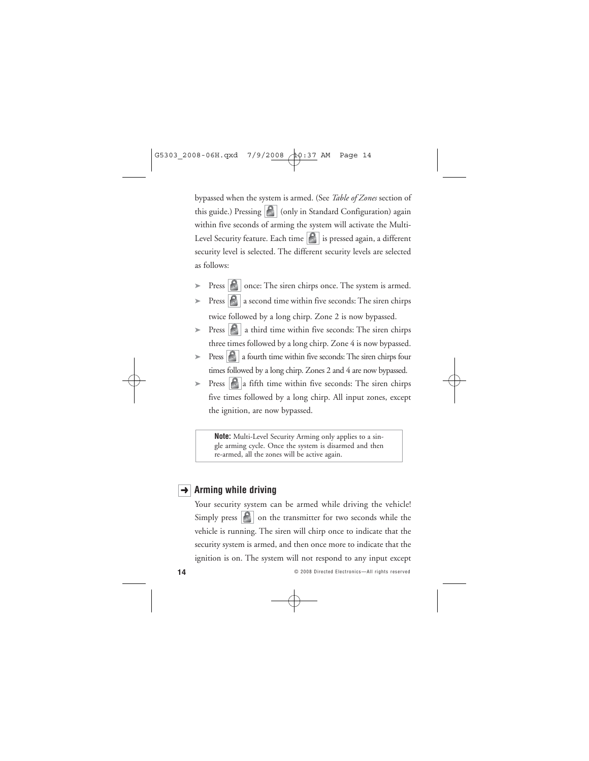bypassed when the system is armed. (See *Table of Zones* section of this guide.) Pressing  $\left|\mathcal{C}\right|$  (only in Standard Configuration) again within five seconds of arming the system will activate the Multi-Level Security feature. Each time  $\left| \mathbf{c} \right|$  is pressed again, a different security level is selected. The different security levels are selected as follows:

- Press  $\left| \mathbf{P} \right|$  once: The siren chirps once. The system is armed.
- $\triangleright$  Press  $\lvert \cdot \rvert$  a second time within five seconds: The siren chirps twice followed by a long chirp. Zone 2 is now bypassed.
- $\triangleright$  Press  $\vert \cdot \vert$  a third time within five seconds: The siren chirps three times followed by a long chirp. Zone 4 is now bypassed.
- $\triangleright$  Press  $\lvert \cdot \rvert$  a fourth time within five seconds: The siren chirps four times followed by a long chirp. Zones 2 and 4 are now bypassed.
- $\triangleright$  Press  $\bigcap$  a fifth time within five seconds: The siren chirps five times followed by a long chirp. All input zones, except the ignition, are now bypassed.

**Note:** Multi-Level Security Arming only applies to a single arming cycle. Once the system is disarmed and then re-armed, all the zones will be active again.

## **→** Arming while driving

Your security system can be armed while driving the vehicle! Simply press  $\left|\mathcal{S}\right|$  on the transmitter for two seconds while the vehicle is running. The siren will chirp once to indicate that the security system is armed, and then once more to indicate that the ignition is on. The system will not respond to any input except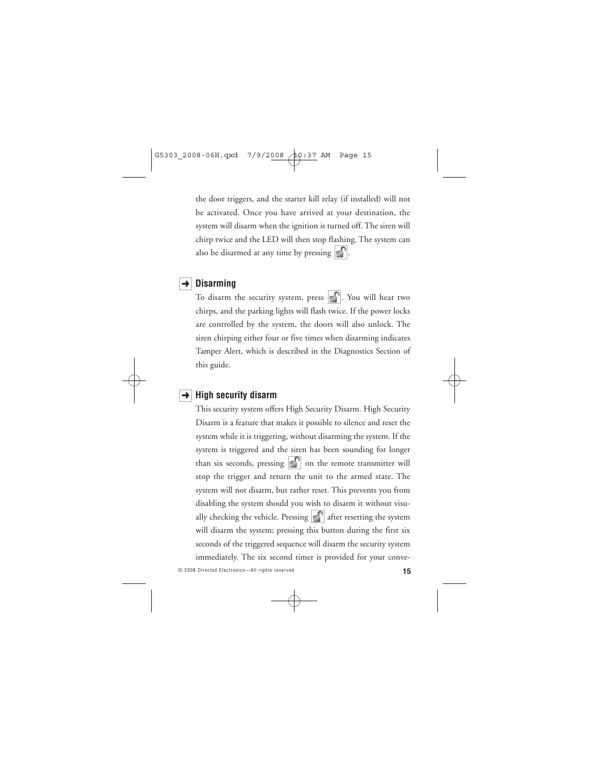the door triggers, and the starter kill relay (if installed) will not be activated. Once you have arrived at your destination, the system will disarm when the ignition is turned off. The siren will chirp twice and the LED will then stop flashing. The system can also be disarmed at any time by pressing  $\left| \cdot \right|$ .

### **→** Disarming

To disarm the security system, press  $\begin{bmatrix} \cdot \\ \cdot \end{bmatrix}$ . You will hear two chirps, and the parking lights will flash twice. If the power locks are controlled by the system, the doors will also unlock. The siren chirping either four or five times when disarming indicates Tamper Alert, which is described in the Diagnostics Section of this guide.

### **→** High security disarm

This security system offers High Security Disarm. High Security Disarm is a feature that makes it possible to silence and reset the system while it is triggering, without disarming the system. If the system is triggered and the siren has been sounding for longer than six seconds, pressing  $\left| \cdot \right|$  on the remote transmitter will stop the trigger and return the unit to the armed state. The system will not disarm, but rather reset. This prevents you from disabling the system should you wish to disarm it without visually checking the vehicle. Pressing  $\left| \cdot \right|$  after resetting the system will disarm the system; pressing this button during the first six seconds of the triggered sequence will disarm the security system immediately. The six second timer is provided for your conve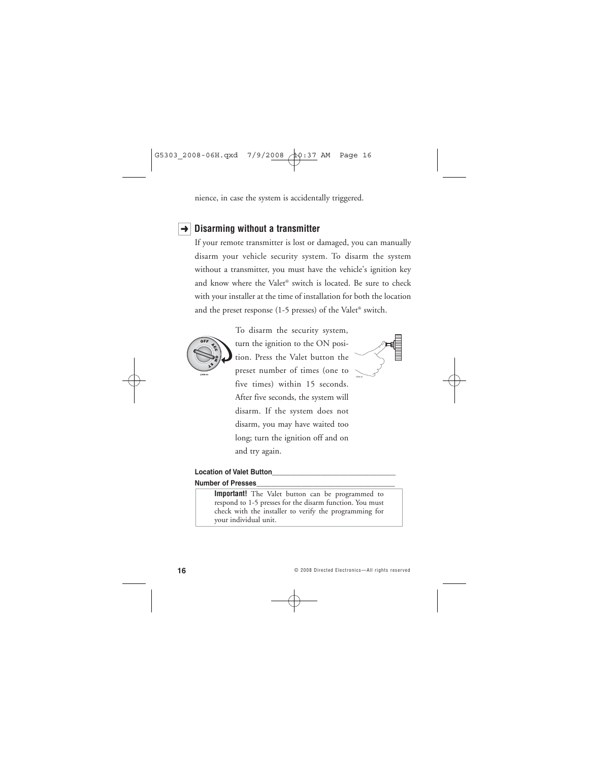nience, in case the system is accidentally triggered.

### **→** Disarming without a transmitter

If your remote transmitter is lost or damaged, you can manually disarm your vehicle security system. To disarm the system without a transmitter, you must have the vehicle's ignition key and know where the Valet® switch is located. Be sure to check with your installer at the time of installation for both the location and the preset response (1-5 presses) of the Valet® switch.



To disarm the security system, turn the ignition to the ON position. Press the Valet button the preset number of times (one to five times) within 15 seconds. After five seconds, the system will disarm. If the system does not disarm, you may have waited too long; turn the ignition off and on and try again.



#### **Location of Valet Button\_\_\_\_\_\_\_\_\_\_\_\_\_\_\_\_\_\_\_\_\_\_\_\_\_\_\_\_\_\_\_\_\_**

#### **Number of Presses\_\_\_\_\_\_\_\_\_\_\_\_\_\_\_\_\_\_\_\_\_\_\_\_\_\_\_\_\_\_\_\_\_\_\_\_\_**

**Important!** The Valet button can be programmed to respond to 1-5 presses for the disarm function. You must check with the installer to verify the programming for your individual unit.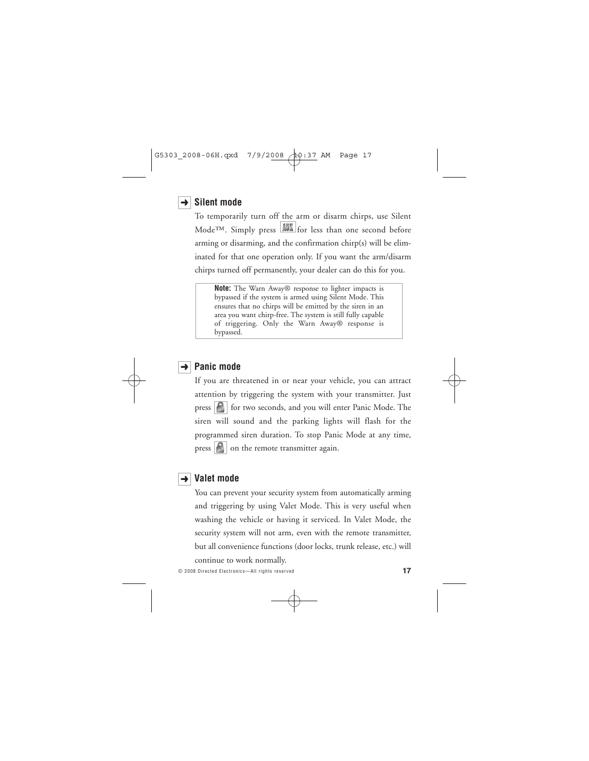# $\rightarrow$  Silent mode

To temporarily turn off the arm or disarm chirps, use Silent Mode<sup>TM</sup>. Simply press  $\frac{1}{\sqrt{2}}$  for less than one second before arming or disarming, and the confirmation chirp(s) will be eliminated for that one operation only. If you want the arm/disarm chirps turned off permanently, your dealer can do this for you.

**Note:** The Warn Away® response to lighter impacts is bypassed if the system is armed using Silent Mode. This ensures that no chirps will be emitted by the siren in an area you want chirp-free. The system is still fully capable of triggering. Only the Warn Away® response is bypassed.

### **→** Panic mode

If you are threatened in or near your vehicle, you can attract attention by triggering the system with your transmitter. Just press  $\left|\mathbf{f}\right|$  for two seconds, and you will enter Panic Mode. The siren will sound and the parking lights will flash for the programmed siren duration. To stop Panic Mode at any time, press  $\left| \mathbf{e} \right|$  on the remote transmitter again.



### **Valet mode** ➜

You can prevent your security system from automatically arming and triggering by using Valet Mode. This is very useful when washing the vehicle or having it serviced. In Valet Mode, the security system will not arm, even with the remote transmitter, but all convenience functions (door locks, trunk release, etc.) will continue to work normally.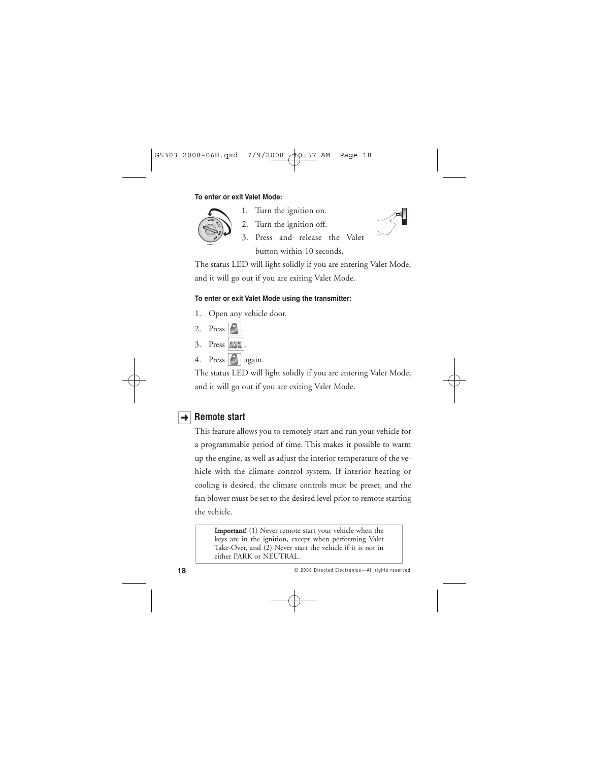#### **To enter or exit Valet Mode:**



- 1. Turn the ignition on.
- 2. Turn the ignition off.
- 3. Press and release the Valet button within 10 seconds.

The status LED will light solidly if you are entering Valet Mode, and it will go out if you are exiting Valet Mode.

### **To enter or exit Valet Mode using the transmitter:**

- 1. Open any vehicle door.
- 2. Press  $\left| \cdot \right|$ .
- $3.$  Press  $\text{AUX}$ .
- 4. Press  $\left| \bigoplus \right|$  again.

The status LED will light solidly if you are entering Valet Mode, and it will go out if you are exiting Valet Mode.

# **→ Remote start**

This feature allows you to remotely start and run your vehicle for a programmable period of time. This makes it possible to warm up the engine, as well as adjust the interior temperature of the vehicle with the climate control system. If interior heating or cooling is desired, the climate controls must be preset, and the fan blower must be set to the desired level prior to remote starting the vehicle.

**Important!** (1) Never remote start your vehicle when the keys are in the ignition, except when performing Valet Take-Over, and (2) Never start the vehicle if it is not in either PARK or NEUTRAL.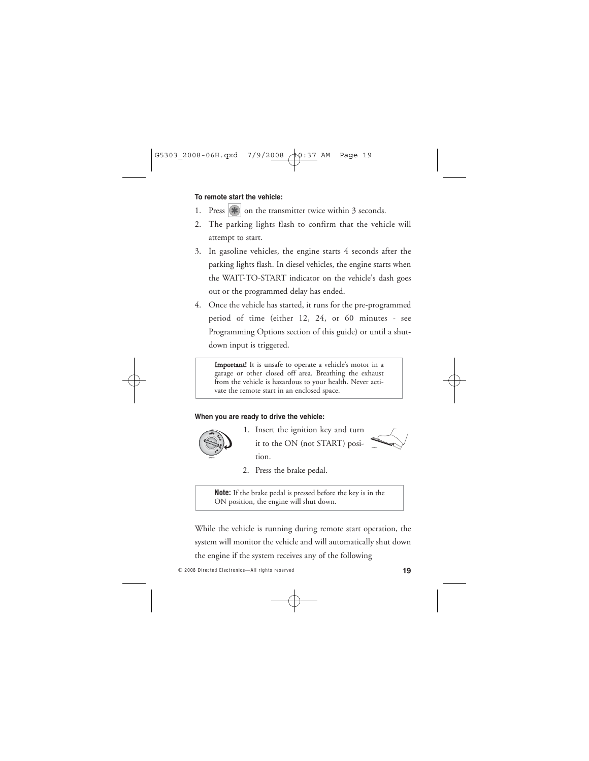#### **To remote start the vehicle:**

- 1. Press  $|\mathbf{\ast}|$  on the transmitter twice within 3 seconds.
- 2. The parking lights flash to confirm that the vehicle will attempt to start.
- 3. In gasoline vehicles, the engine starts 4 seconds after the parking lights flash. In diesel vehicles, the engine starts when the WAIT-TO-START indicator on the vehicle's dash goes out or the programmed delay has ended.
- 4. Once the vehicle has started, it runs for the pre-programmed period of time (either 12, 24, or 60 minutes - see Programming Options section of this guide) or until a shutdown input is triggered.

Important! It is unsafe to operate a vehicle's motor in a garage or other closed off area. Breathing the exhaust from the vehicle is hazardous to your health. Never activate the remote start in an enclosed space.

#### **When you are ready to drive the vehicle:**



1. Insert the ignition key and turn it to the ON (not START) position.



2. Press the brake pedal.

**Note:** If the brake pedal is pressed before the key is in the ON position, the engine will shut down.

While the vehicle is running during remote start operation, the system will monitor the vehicle and will automatically shut down

the engine if the system receives any of the following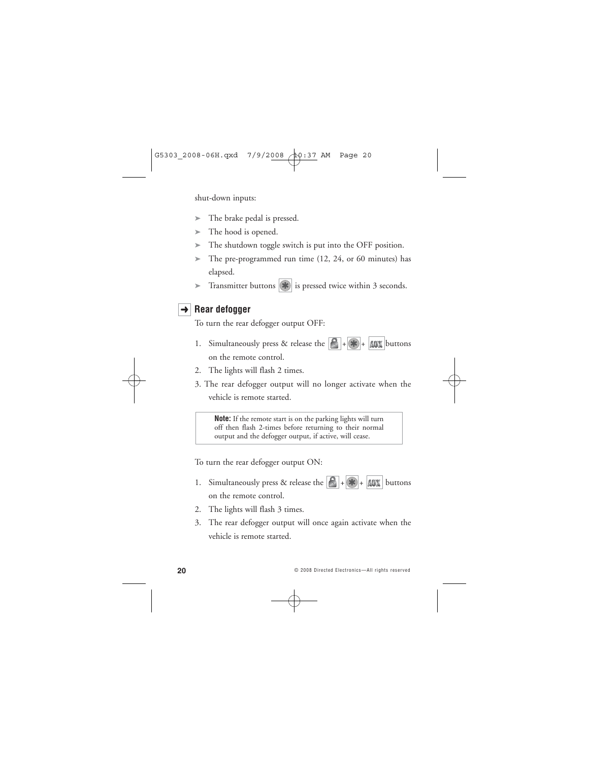shut-down inputs:

- ➤ The brake pedal is pressed.
- $\blacktriangleright$  The hood is opened.
- ➤ The shutdown toggle switch is put into the OFF position.
- ➤ The pre-programmed run time (12, 24, or 60 minutes) has elapsed.
- ► Transmitter buttons  $|\clubsuit|$  is pressed twice within 3 seconds.

### $\rightarrow$  **Rear defogger**

To turn the rear defogger output OFF:

- 1. Simultaneously press & release the  $\left|\mathbf{B}\right| + \left|\mathbf{A}\right| + \left|\mathbf{A}\right|$  buttons on the remote control.
- 2. The lights will flash 2 times.
- 3. The rear defogger output will no longer activate when the vehicle is remote started.

**Note:** If the remote start is on the parking lights will turn off then flash 2-times before returning to their normal output and the defogger output, if active, will cease.

To turn the rear defogger output ON:

- 1. Simultaneously press & release the  $\begin{array}{|c|c|c|c|c|}\n\hline\n\end{array}$  +  $\begin{array}{|c|c|c|c|}\n\hline\n\end{array}$  buttons on the remote control.
- 2. The lights will flash 3 times.
- 3. The rear defogger output will once again activate when the vehicle is remote started.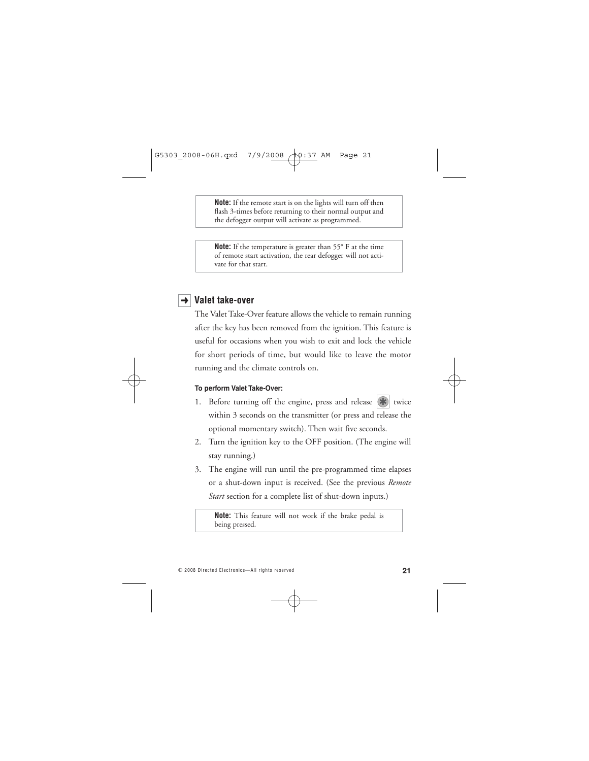**Note:** If the remote start is on the lights will turn off then flash 3-times before returning to their normal output and the defogger output will activate as programmed.

**Note:** If the temperature is greater than 55° F at the time of remote start activation, the rear defogger will not activate for that start.

### **→ Valet take-over**

The Valet Take-Over feature allows the vehicle to remain running after the key has been removed from the ignition. This feature is useful for occasions when you wish to exit and lock the vehicle for short periods of time, but would like to leave the motor running and the climate controls on.

#### **To perform Valet Take-Over:**

- 1. Before turning off the engine, press and release  $\left|\frac{1}{\mathbf{H}}\right|$  twice within 3 seconds on the transmitter (or press and release the optional momentary switch). Then wait five seconds.
- 2. Turn the ignition key to the OFF position. (The engine will stay running.)
- 3. The engine will run until the pre-programmed time elapses or a shut-down input is received. (See the previous *Remote Start* section for a complete list of shut-down inputs.)

**Note:** This feature will not work if the brake pedal is being pressed.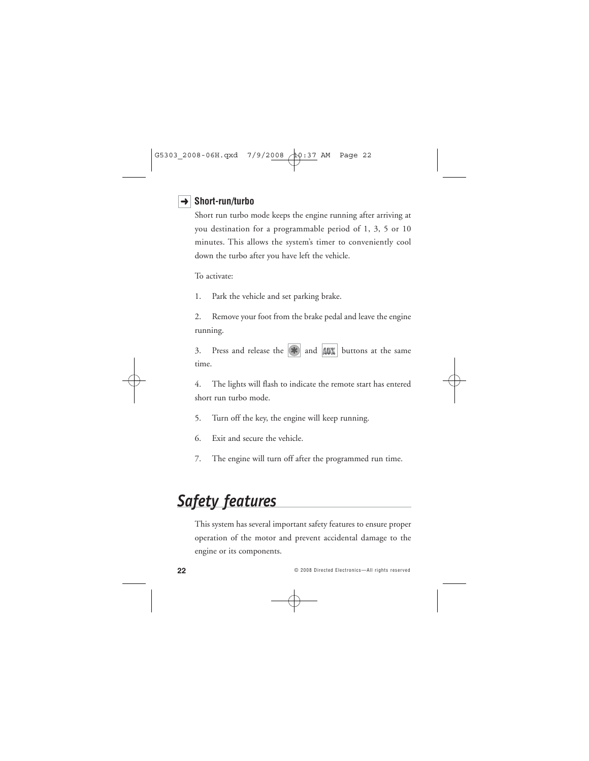### **Short-run/turbo** ➜

Short run turbo mode keeps the engine running after arriving at you destination for a programmable period of 1, 3, 5 or 10 minutes. This allows the system's timer to conveniently cool down the turbo after you have left the vehicle.

To activate:

1. Park the vehicle and set parking brake.

2. Remove your foot from the brake pedal and leave the engine running.

3. Press and release the  $\left|\mathbf{a}\right|$  and  $\left|\mathbf{A}\right|$  buttons at the same time.

4. The lights will flash to indicate the remote start has entered short run turbo mode.

5. Turn off the key, the engine will keep running.

- 6. Exit and secure the vehicle.
- 7. The engine will turn off after the programmed run time.

# *Safety features*

This system has several important safety features to ensure proper operation of the motor and prevent accidental damage to the engine or its components.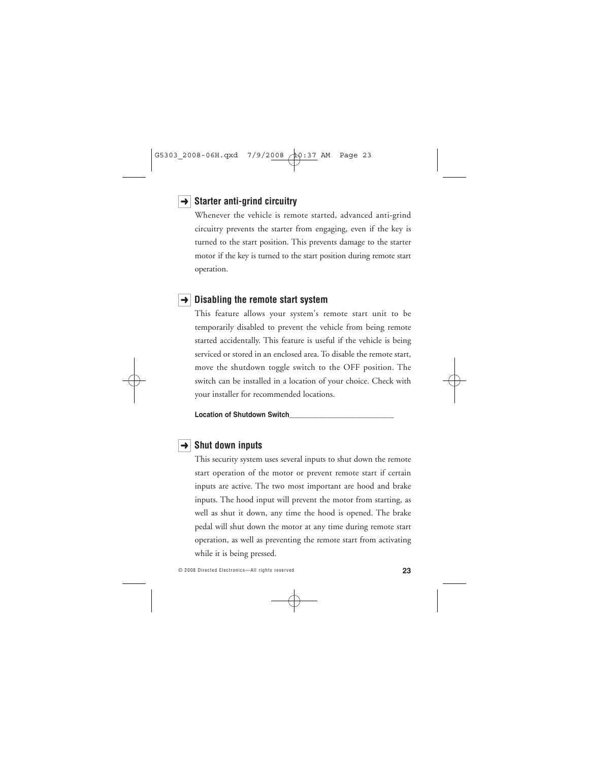### **→ Starter anti-grind circuitry**

Whenever the vehicle is remote started, advanced anti-grind circuitry prevents the starter from engaging, even if the key is turned to the start position. This prevents damage to the starter motor if the key is turned to the start position during remote start operation.

### **→** Disabling the remote start system

This feature allows your system's remote start unit to be temporarily disabled to prevent the vehicle from being remote started accidentally. This feature is useful if the vehicle is being serviced or stored in an enclosed area. To disable the remote start, move the shutdown toggle switch to the OFF position. The switch can be installed in a location of your choice. Check with your installer for recommended locations.

**Location of Shutdown Switch\_\_\_\_\_\_\_\_\_\_\_\_\_\_\_\_\_\_\_\_\_\_\_\_\_\_\_\_**

### $\rightarrow$  Shut down inputs

This security system uses several inputs to shut down the remote start operation of the motor or prevent remote start if certain inputs are active. The two most important are hood and brake inputs. The hood input will prevent the motor from starting, as well as shut it down, any time the hood is opened. The brake pedal will shut down the motor at any time during remote start operation, as well as preventing the remote start from activating while it is being pressed.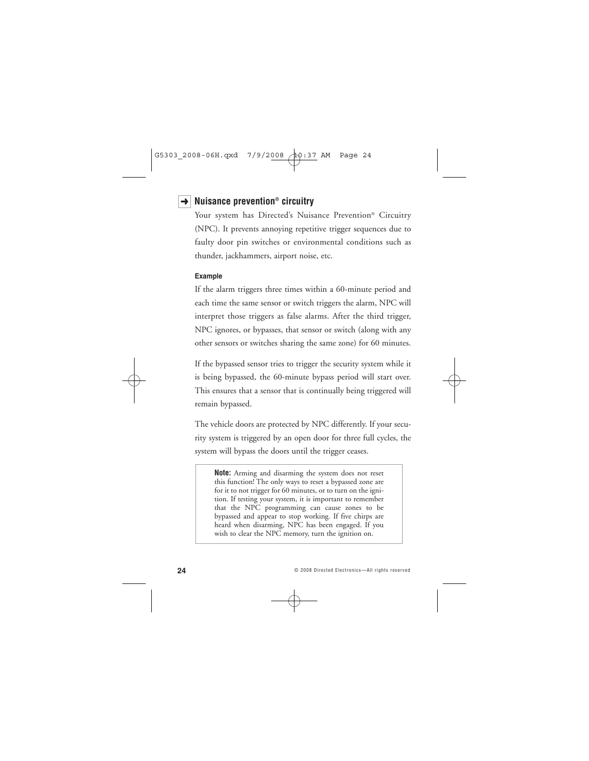# **Nuisance prevention® circuitry** ➜

Your system has Directed's Nuisance Prevention® Circuitry (NPC). It prevents annoying repetitive trigger sequences due to faulty door pin switches or environmental conditions such as thunder, jackhammers, airport noise, etc.

#### **Example**

If the alarm triggers three times within a 60-minute period and each time the same sensor or switch triggers the alarm, NPC will interpret those triggers as false alarms. After the third trigger, NPC ignores, or bypasses, that sensor or switch (along with any other sensors or switches sharing the same zone) for 60 minutes.

If the bypassed sensor tries to trigger the security system while it is being bypassed, the 60-minute bypass period will start over. This ensures that a sensor that is continually being triggered will remain bypassed.

The vehicle doors are protected by NPC differently. If your security system is triggered by an open door for three full cycles, the system will bypass the doors until the trigger ceases.

**Note:** Arming and disarming the system does not reset this function! The only ways to reset a bypassed zone are for it to not trigger for 60 minutes, or to turn on the ignition. If testing your system, it is important to remember that the NPC programming can cause zones to be bypassed and appear to stop working. If five chirps are heard when disarming, NPC has been engaged. If you wish to clear the NPC memory, turn the ignition on.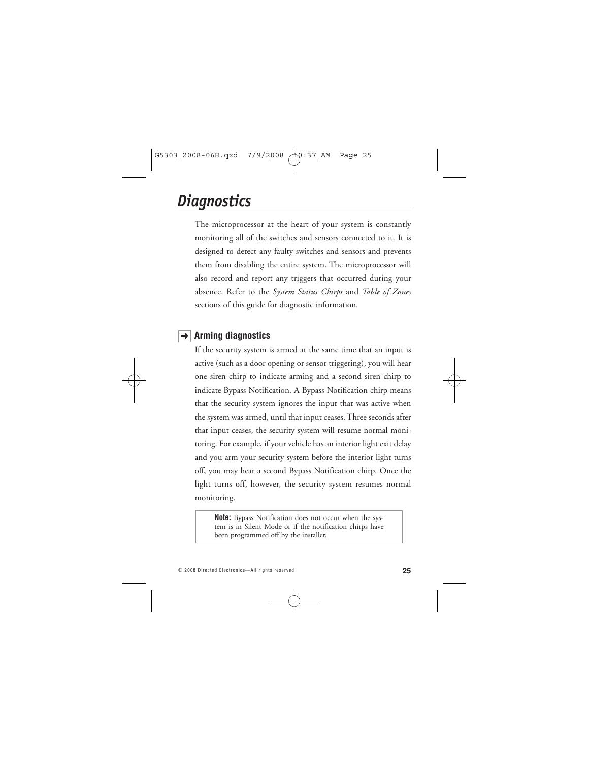# *Diagnostics*

The microprocessor at the heart of your system is constantly monitoring all of the switches and sensors connected to it. It is designed to detect any faulty switches and sensors and prevents them from disabling the entire system. The microprocessor will also record and report any triggers that occurred during your absence. Refer to the *System Status Chirps* and *Table of Zones* sections of this guide for diagnostic information.

# **Arming diagnostics** ➜

If the security system is armed at the same time that an input is active (such as a door opening or sensor triggering), you will hear one siren chirp to indicate arming and a second siren chirp to indicate Bypass Notification. A Bypass Notification chirp means that the security system ignores the input that was active when the system was armed, until that input ceases. Three seconds after that input ceases, the security system will resume normal monitoring. For example, if your vehicle has an interior light exit delay and you arm your security system before the interior light turns off, you may hear a second Bypass Notification chirp. Once the light turns off, however, the security system resumes normal monitoring.

**Note:** Bypass Notification does not occur when the system is in Silent Mode or if the notification chirps have been programmed off by the installer.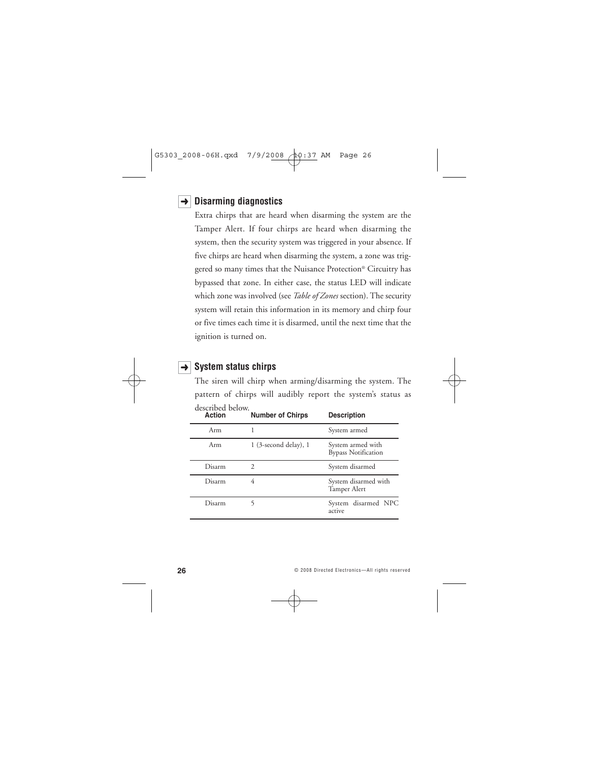## **Disarming diagnostics** ➜

Extra chirps that are heard when disarming the system are the Tamper Alert. If four chirps are heard when disarming the system, then the security system was triggered in your absence. If five chirps are heard when disarming the system, a zone was triggered so many times that the Nuisance Protection® Circuitry has bypassed that zone. In either case, the status LED will indicate which zone was involved (see *Table of Zones* section). The security system will retain this information in its memory and chirp four or five times each time it is disarmed, until the next time that the ignition is turned on.

### **→ System status chirps**

The siren will chirp when arming/disarming the system. The pattern of chirps will audibly report the system's status as described below.

| Action | <b>Number of Chirps</b>   | <b>Description</b>                              |
|--------|---------------------------|-------------------------------------------------|
| Arm    |                           | System armed                                    |
| Arm    | $1$ (3-second delay), $1$ | System armed with<br><b>Bypass Notification</b> |
| Disarm | 2                         | System disarmed                                 |
| Disarm | 4                         | System disarmed with<br>Tamper Alert            |
| Disarm |                           | System disarmed NPC<br>active                   |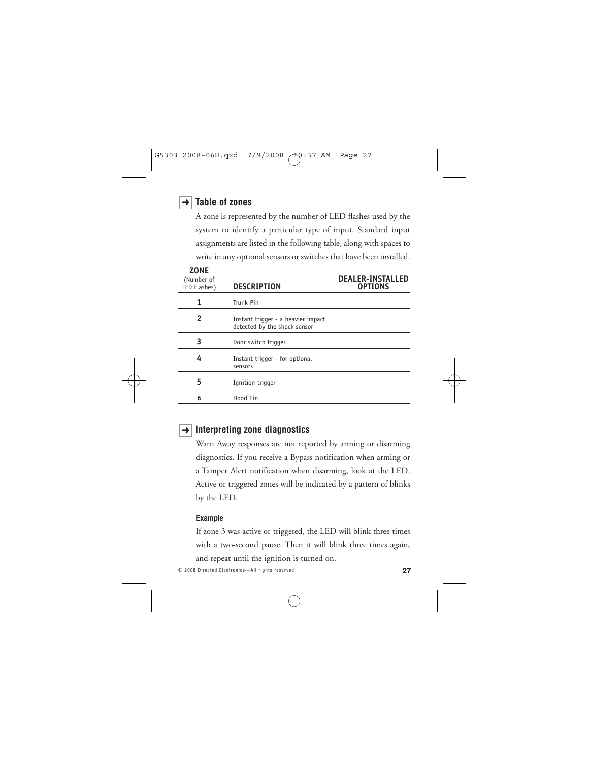### **Table of zones** ➜

A zone is represented by the number of LED flashes used by the system to identify a particular type of input. Standard input assignments are listed in the following table, along with spaces to write in any optional sensors or switches that have been installed.

| <b>ZONE</b><br>(Number of<br>LED Flashes) | <b>DESCRIPTION</b>                                                 | <b>DEALER-INSTALLED</b><br><b>OPTIONS</b> |
|-------------------------------------------|--------------------------------------------------------------------|-------------------------------------------|
| 1                                         | Trunk Pin                                                          |                                           |
| 2                                         | Instant trigger - a heavier impact<br>detected by the shock sensor |                                           |
| 3                                         | Door switch trigger                                                |                                           |
| 4                                         | Instant trigger - for optional<br>sensors                          |                                           |
| 5                                         | Ignition trigger                                                   |                                           |
| 6                                         | Hood Pin                                                           |                                           |

## **→ Interpreting zone diagnostics**

Warn Away responses are not reported by arming or disarming diagnostics. If you receive a Bypass notification when arming or a Tamper Alert notification when disarming, look at the LED. Active or triggered zones will be indicated by a pattern of blinks by the LED.

#### **Example**

If zone 3 was active or triggered, the LED will blink three times with a two-second pause. Then it will blink three times again, and repeat until the ignition is turned on.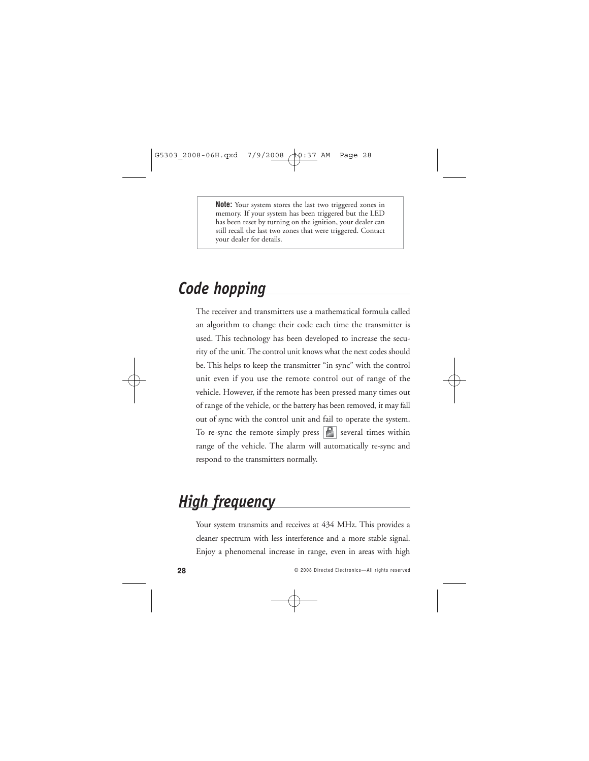**Note:** Your system stores the last two triggered zones in memory. If your system has been triggered but the LED has been reset by turning on the ignition, your dealer can still recall the last two zones that were triggered. Contact your dealer for details.

# *Code hopping*

The receiver and transmitters use a mathematical formula called an algorithm to change their code each time the transmitter is used. This technology has been developed to increase the security of the unit. The control unit knows what the next codes should be. This helps to keep the transmitter "in sync" with the control unit even if you use the remote control out of range of the vehicle. However, if the remote has been pressed many times out of range of the vehicle, or the battery has been removed, it may fall out of sync with the control unit and fail to operate the system. To re-sync the remote simply press  $|\mathcal{E}|$  several times within range of the vehicle. The alarm will automatically re-sync and respond to the transmitters normally.

# *High frequency*

Your system transmits and receives at 434 MHz. This provides a cleaner spectrum with less interference and a more stable signal. Enjoy a phenomenal increase in range, even in areas with high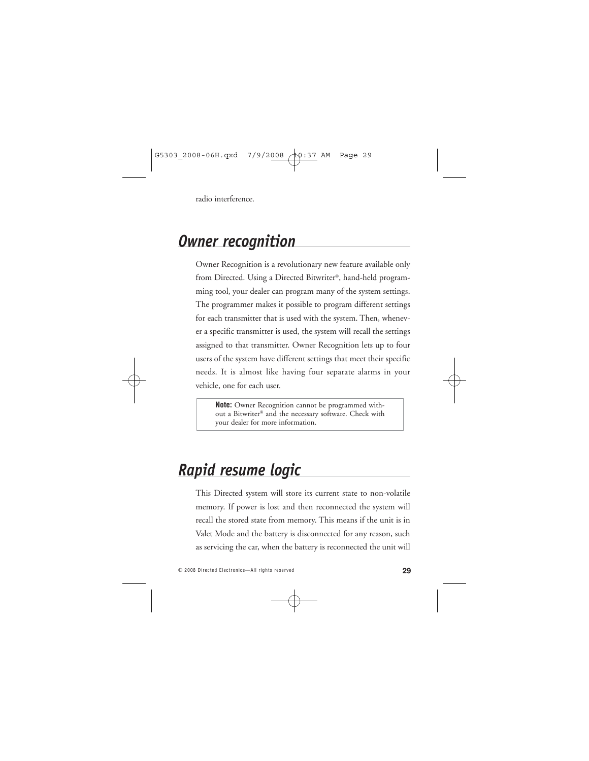radio interference.

# *Owner recognition*

Owner Recognition is a revolutionary new feature available only from Directed. Using a Directed Bitwriter®, hand-held programming tool, your dealer can program many of the system settings. The programmer makes it possible to program different settings for each transmitter that is used with the system. Then, whenever a specific transmitter is used, the system will recall the settings assigned to that transmitter. Owner Recognition lets up to four users of the system have different settings that meet their specific needs. It is almost like having four separate alarms in your vehicle, one for each user.

**Note:** Owner Recognition cannot be programmed without a Bitwriter® and the necessary software. Check with your dealer for more information.

# *Rapid resume logic*

This Directed system will store its current state to non-volatile memory. If power is lost and then reconnected the system will recall the stored state from memory. This means if the unit is in Valet Mode and the battery is disconnected for any reason, such as servicing the car, when the battery is reconnected the unit will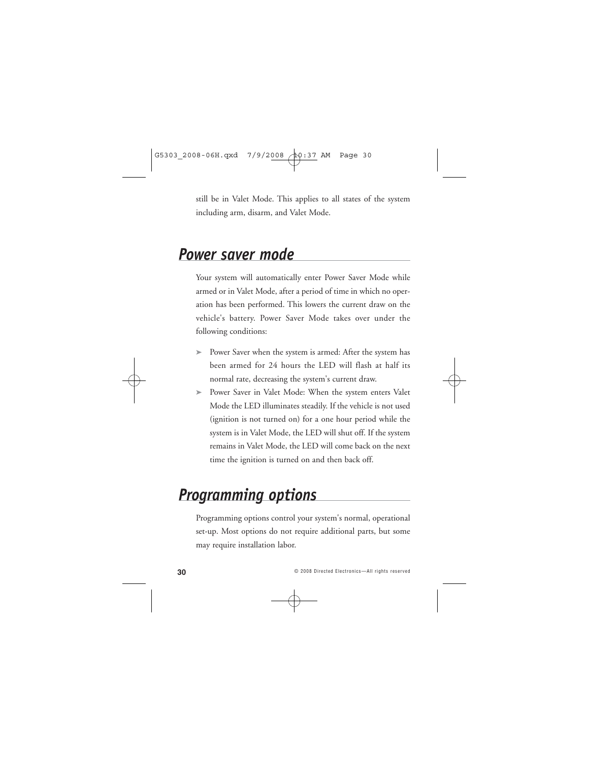still be in Valet Mode. This applies to all states of the system including arm, disarm, and Valet Mode.

# *Power saver mode*

Your system will automatically enter Power Saver Mode while armed or in Valet Mode, after a period of time in which no operation has been performed. This lowers the current draw on the vehicle's battery. Power Saver Mode takes over under the following conditions:

- ➤ Power Saver when the system is armed: After the system has been armed for 24 hours the LED will flash at half its normal rate, decreasing the system's current draw.
- ➤ Power Saver in Valet Mode: When the system enters Valet Mode the LED illuminates steadily. If the vehicle is not used (ignition is not turned on) for a one hour period while the system is in Valet Mode, the LED will shut off. If the system remains in Valet Mode, the LED will come back on the next time the ignition is turned on and then back off.

# *Programming options*

Programming options control your system's normal, operational set-up. Most options do not require additional parts, but some may require installation labor.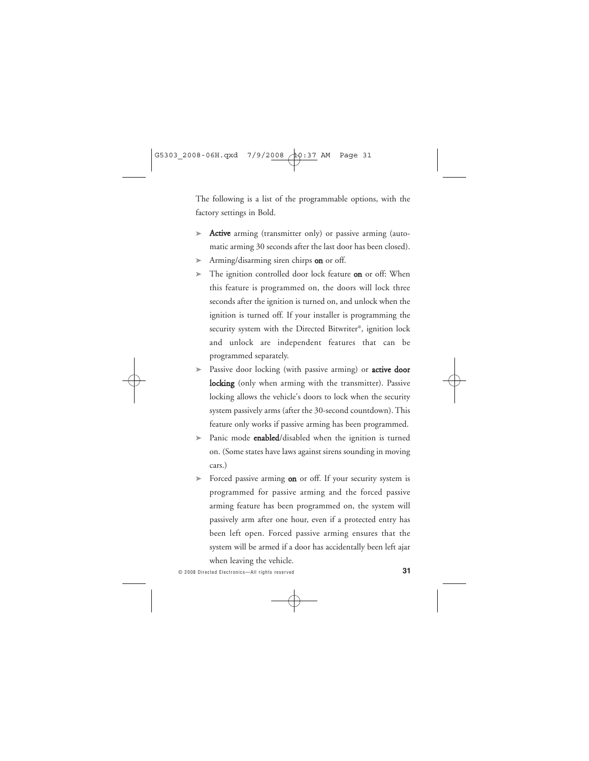The following is a list of the programmable options, with the factory settings in Bold.

- Active arming (transmitter only) or passive arming (automatic arming 30 seconds after the last door has been closed).
- $\triangleright$  Arming/disarming siren chirps on or off.
- ► The ignition controlled door lock feature on or off: When this feature is programmed on, the doors will lock three seconds after the ignition is turned on, and unlock when the ignition is turned off. If your installer is programming the security system with the Directed Bitwriter®, ignition lock and unlock are independent features that can be programmed separately.
- ► Passive door locking (with passive arming) or **active door** locking (only when arming with the transmitter). Passive locking allows the vehicle's doors to lock when the security system passively arms (after the 30-second countdown). This feature only works if passive arming has been programmed.
- ► Panic mode **enabled**/disabled when the ignition is turned on. (Some states have laws against sirens sounding in moving cars.)
- ► Forced passive arming **on** or off. If your security system is programmed for passive arming and the forced passive arming feature has been programmed on, the system will passively arm after one hour, even if a protected entry has been left open. Forced passive arming ensures that the system will be armed if a door has accidentally been left ajar when leaving the vehicle.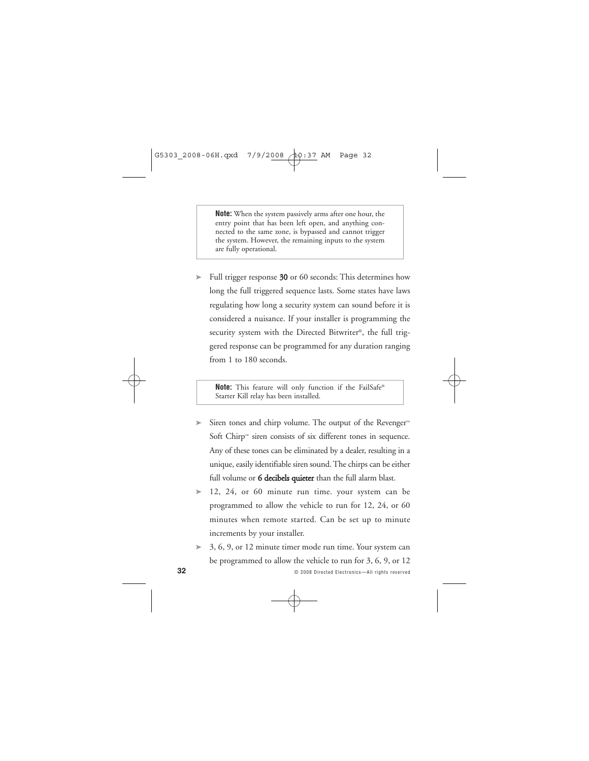**Note:** When the system passively arms after one hour, the entry point that has been left open, and anything connected to the same zone, is bypassed and cannot trigger the system. However, the remaining inputs to the system are fully operational.

► Full trigger response 30 or 60 seconds: This determines how long the full triggered sequence lasts. Some states have laws regulating how long a security system can sound before it is considered a nuisance. If your installer is programming the security system with the Directed Bitwriter®, the full triggered response can be programmed for any duration ranging from 1 to 180 seconds.

**Note:** This feature will only function if the FailSafe® Starter Kill relay has been installed.

- ➤ Siren tones and chirp volume. The output of the Revenger™ Soft Chirp™ siren consists of six different tones in sequence. Any of these tones can be eliminated by a dealer, resulting in a unique, easily identifiable siren sound. The chirps can be either full volume or 6 decibels quieter than the full alarm blast.
- ➤ 12, 24, or 60 minute run time. your system can be programmed to allow the vehicle to run for 12, 24, or 60 minutes when remote started. Can be set up to minute increments by your installer.
- ➤ 3, 6, 9, or 12 minute timer mode run time. Your system can be programmed to allow the vehicle to run for 3, 6, 9, or 12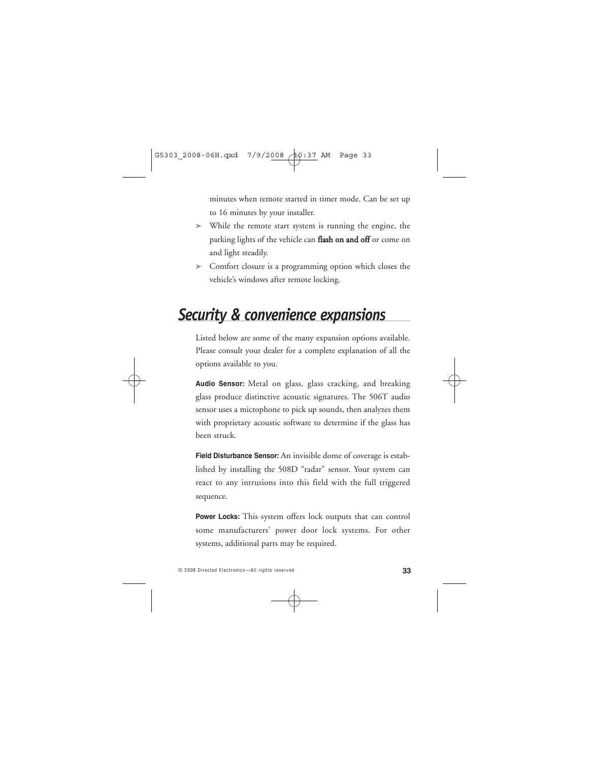minutes when remote started in timer mode. Can be set up to 16 minutes by your installer.

- ➤ While the remote start system is running the engine, the parking lights of the vehicle can flash on and off or come on and light steadily.
- ➤ Comfort closure is a programming option which closes the vehicle's windows after remote locking.

# *Security & convenience expansions*

Listed below are some of the many expansion options available. Please consult your dealer for a complete explanation of all the options available to you.

**Audio Sensor:** Metal on glass, glass cracking, and breaking glass produce distinctive acoustic signatures. The 506T audio sensor uses a microphone to pick up sounds, then analyzes them with proprietary acoustic software to determine if the glass has been struck.

**Field Disturbance Sensor:** An invisible dome of coverage is established by installing the 508D "radar" sensor. Your system can react to any intrusions into this field with the full triggered sequence.

**Power Locks:** This system offers lock outputs that can control some manufacturers' power door lock systems. For other systems, additional parts may be required.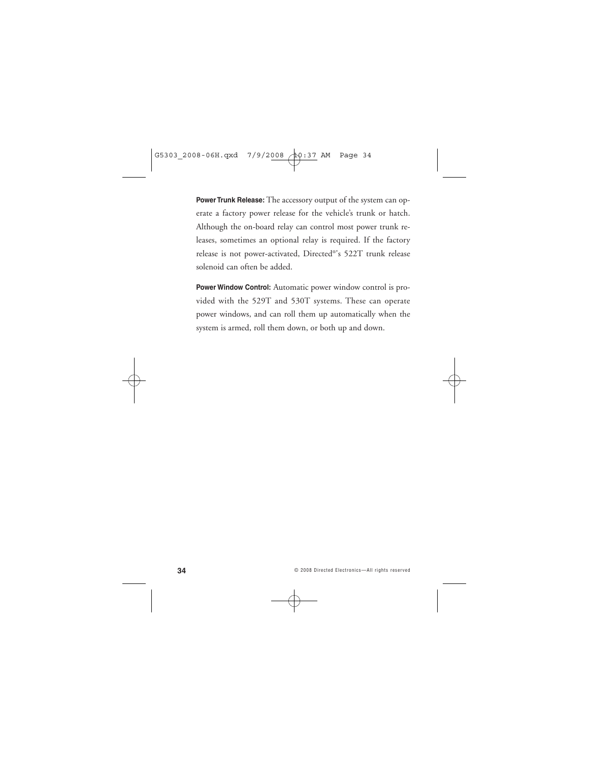**Power Trunk Release:** The accessory output of the system can operate a factory power release for the vehicle's trunk or hatch. Although the on-board relay can control most power trunk releases, sometimes an optional relay is required. If the factory release is not power-activated, Directed®'s 522T trunk release solenoid can often be added.

**Power Window Control:** Automatic power window control is provided with the 529T and 530T systems. These can operate power windows, and can roll them up automatically when the system is armed, roll them down, or both up and down.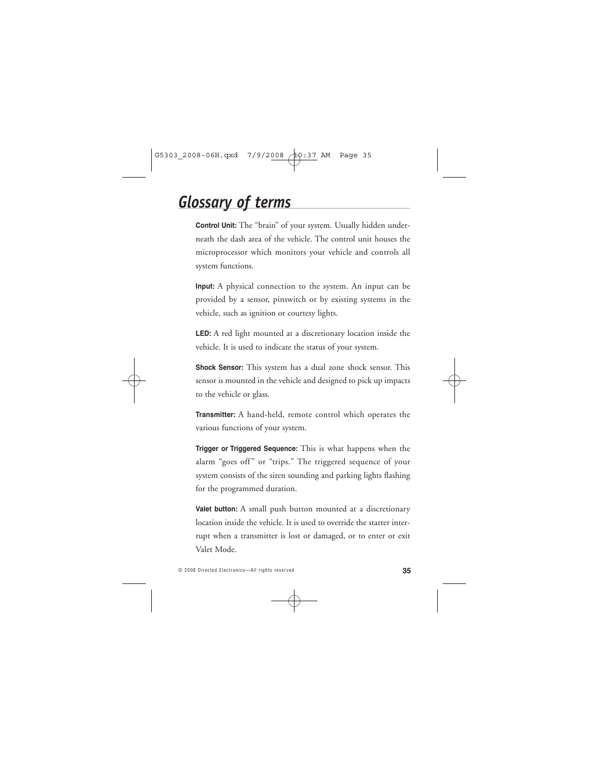# *Glossary of terms*

**Control Unit:** The "brain" of your system. Usually hidden underneath the dash area of the vehicle. The control unit houses the microprocessor which monitors your vehicle and controls all system functions.

**Input:** A physical connection to the system. An input can be provided by a sensor, pinswitch or by existing systems in the vehicle, such as ignition or courtesy lights.

**LED:** A red light mounted at a discretionary location inside the vehicle. It is used to indicate the status of your system.

**Shock Sensor:** This system has a dual zone shock sensor. This sensor is mounted in the vehicle and designed to pick up impacts to the vehicle or glass.

**Transmitter:** A hand-held, remote control which operates the various functions of your system.

**Trigger or Triggered Sequence:** This is what happens when the alarm "goes off" or "trips." The triggered sequence of your system consists of the siren sounding and parking lights flashing for the programmed duration.

**Valet button:** A small push button mounted at a discretionary location inside the vehicle. It is used to override the starter interrupt when a transmitter is lost or damaged, or to enter or exit Valet Mode.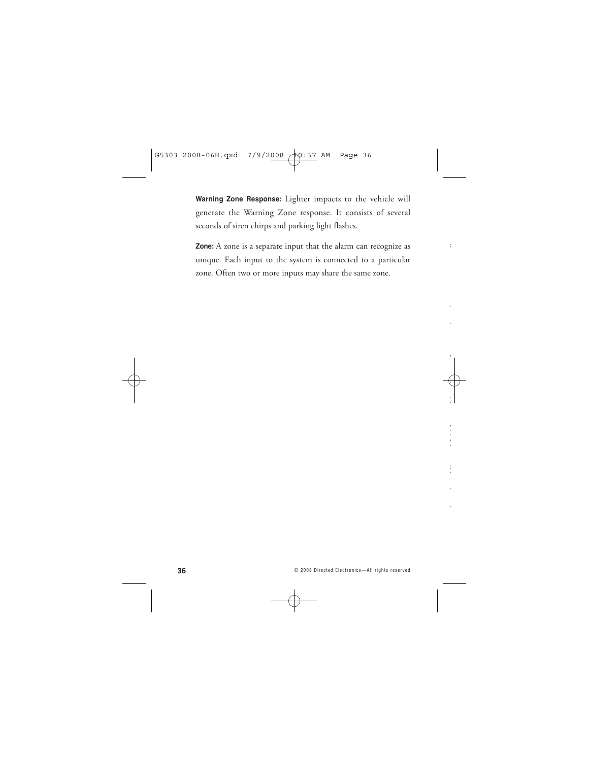**Warning Zone Response:** Lighter impacts to the vehicle will generate the Warning Zone response. It consists of several seconds of siren chirps and parking light flashes.

**Zone:** A zone is a separate input that the alarm can recognize as unique. Each input to the system is connected to a particular zone. Often two or more inputs may share the same zone.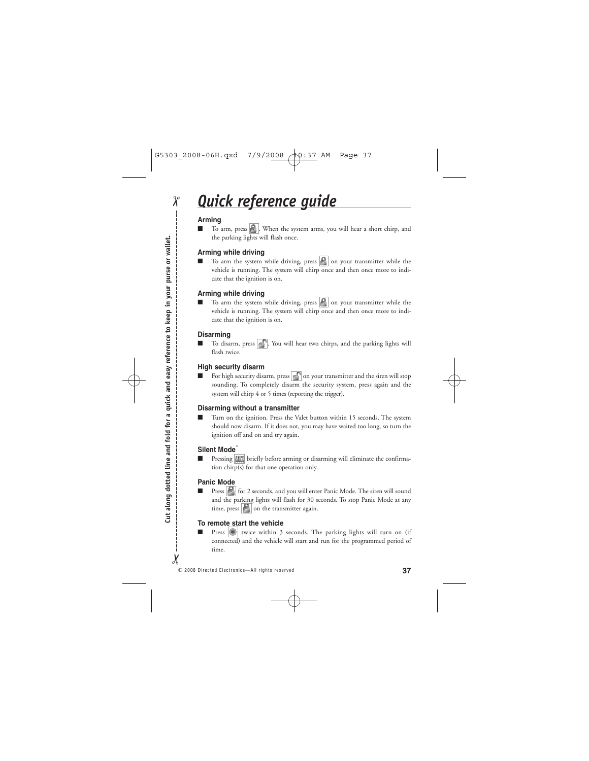# *Quick reference guide*

#### **Arming**

 $\chi$ 

To arm, press  $\bigcirc$ . When the system arms, you will hear a short chirp, and the parking lights will flash once.

#### **Arming while driving**

To arm the system while driving, press  $\left| \bigotimes \right|$  on your transmitter while the vehicle is running. The system will chirp once and then once more to indicate that the ignition is on.

#### **Arming while driving**

 $\blacksquare$  To arm the system while driving, press  $\lvert \Omega \rvert$  on your transmitter while the vehicle is running. The system will chirp once and then once more to indicate that the ignition is on.

#### **Disarming**

To disarm, press  $\mathbb{R}^2$ . You will hear two chirps, and the parking lights will flash twice.

#### **High security disarm**

■ For high security disarm, press on your transmitter and the siren will stop sounding. To completely disarm the security system, press again and the system will chirp 4 or 5 times (reporting the trigger).

#### **Disarming without a transmitter**

Turn on the ignition. Press the Valet button within 15 seconds. The system should now disarm. If it does not, you may have waited too long, so turn the ignition off and on and try again.

#### **Silent Mode**™

Pressing  $\text{M}$  briefly before arming or disarming will eliminate the confirmation chirp(s) for that one operation only.

#### **Panic Mode**

■ Press **for** for 2 seconds, and you will enter Panic Mode. The siren will sound and the parking lights will flash for 30 seconds. To stop Panic Mode at any time, press  $\boxed{\bigcirc}$  on the transmitter again.

#### **To remote start the vehicle**

Press  $\left|\frac{1}{\text{F}}\right|$  twice within 3 seconds. The parking lights will turn on (if connected) and the vehicle will start and run for the programmed period of time.

 $\chi$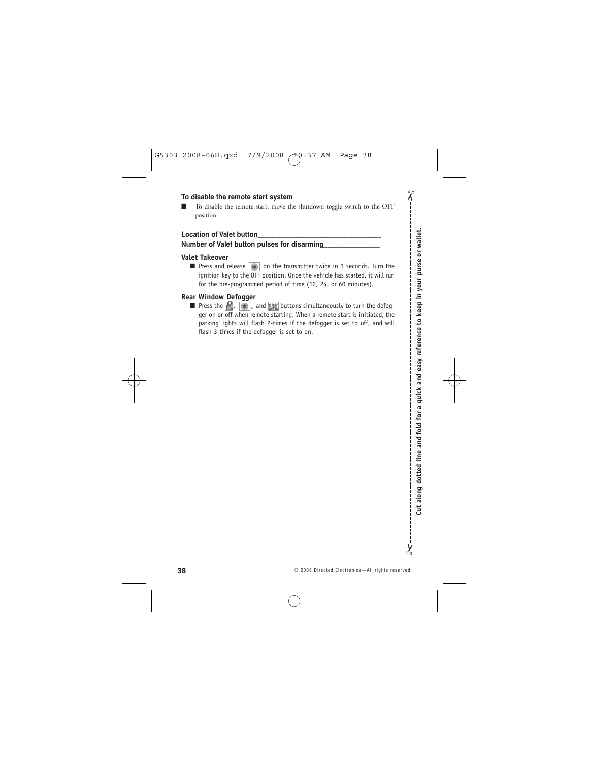#### **To disable the remote start system**

■ To disable the remote start, move the shutdown toggle switch to the OFF position.

#### **Location of Valet button\_\_\_\_\_\_\_\_\_\_\_\_\_\_\_\_\_\_\_\_\_\_\_\_\_\_\_\_\_\_\_\_\_**

#### **Number of Valet button pulses for disarming\_\_\_\_\_\_\_\_\_\_\_\_\_\_\_**

#### **Valet Takeover**

■ Press and release (<del>1)</del> on the transmitter twice in 3 seconds. Turn the ignition key to the OFF position. Once the vehicle has started, it will run for the pre-programmed period of time (12, 24, or 60 minutes).

#### **Rear Window Defogger**

**■** Press the  $\mathbb{R}$ ,  $\mathbb{R}$ , and  $\mathbb{M}\mathbb{R}$  buttons simultaneously to turn the defogger on or off when remote starting. When a remote start is initiated, the parking lights will flash 2-times if the defogger is set to off, and will flash 3-times if the defogger is set to on.

 $\chi$ 

 $\chi$